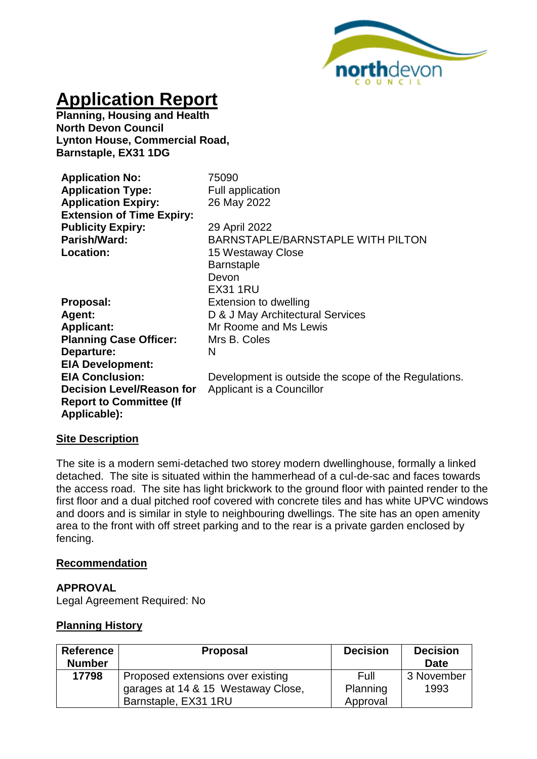

# **Application Report**

**Planning, Housing and Health North Devon Council Lynton House, Commercial Road, Barnstaple, EX31 1DG**

| <b>Application No:</b><br><b>Application Type:</b><br><b>Application Expiry:</b><br><b>Extension of Time Expiry:</b> | 75090<br><b>Full application</b><br>26 May 2022                    |
|----------------------------------------------------------------------------------------------------------------------|--------------------------------------------------------------------|
| <b>Publicity Expiry:</b>                                                                                             | 29 April 2022                                                      |
| Parish/Ward:                                                                                                         | <b>BARNSTAPLE/BARNSTAPLE WITH PILTON</b>                           |
| Location:                                                                                                            | 15 Westaway Close<br><b>Barnstaple</b><br>Devon<br><b>EX31 1RU</b> |
| Proposal:                                                                                                            | Extension to dwelling                                              |
| <b>Agent:</b>                                                                                                        | D & J May Architectural Services                                   |
| <b>Applicant:</b>                                                                                                    | Mr Roome and Ms Lewis                                              |
| <b>Planning Case Officer:</b>                                                                                        | Mrs B. Coles                                                       |
| Departure:                                                                                                           | N                                                                  |
| <b>EIA Development:</b>                                                                                              |                                                                    |
| <b>EIA Conclusion:</b>                                                                                               | Development is outside the scope of the Regulations.               |
| <b>Decision Level/Reason for</b><br><b>Report to Committee (If</b><br>Applicable):                                   | Applicant is a Councillor                                          |

## **Site Description**

The site is a modern semi-detached two storey modern dwellinghouse, formally a linked detached. The site is situated within the hammerhead of a cul-de-sac and faces towards the access road. The site has light brickwork to the ground floor with painted render to the first floor and a dual pitched roof covered with concrete tiles and has white UPVC windows and doors and is similar in style to neighbouring dwellings. The site has an open amenity area to the front with off street parking and to the rear is a private garden enclosed by fencing.

#### **Recommendation**

#### **APPROVAL**

Legal Agreement Required: No

## **Planning History**

| Reference     | <b>Proposal</b>                    | <b>Decision</b> | <b>Decision</b> |
|---------------|------------------------------------|-----------------|-----------------|
| <b>Number</b> |                                    |                 | Date            |
| 17798         | Proposed extensions over existing  | Full            | 3 November      |
|               | garages at 14 & 15 Westaway Close, | Planning        | 1993            |
|               | Barnstaple, EX31 1RU               | Approval        |                 |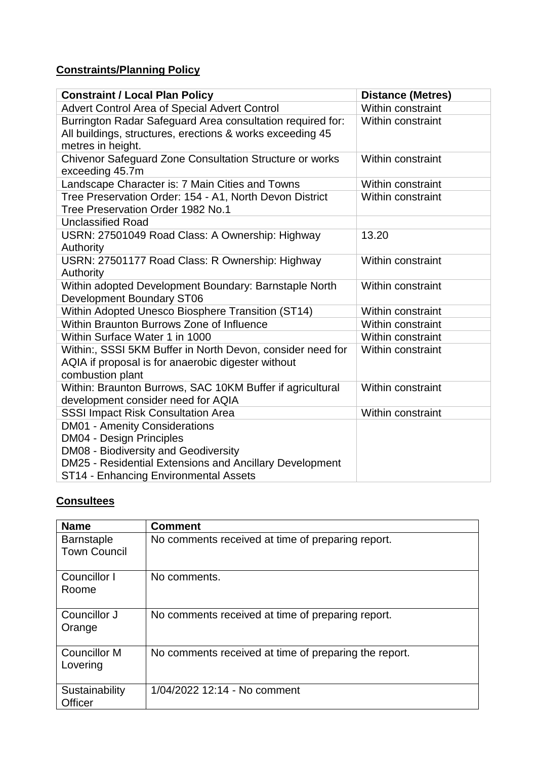# **Constraints/Planning Policy**

| <b>Constraint / Local Plan Policy</b>                                                                                                                                      | <b>Distance (Metres)</b> |
|----------------------------------------------------------------------------------------------------------------------------------------------------------------------------|--------------------------|
| Advert Control Area of Special Advert Control                                                                                                                              | Within constraint        |
| Burrington Radar Safeguard Area consultation required for:<br>All buildings, structures, erections & works exceeding 45<br>metres in height.                               | Within constraint        |
| Chivenor Safeguard Zone Consultation Structure or works<br>exceeding 45.7m                                                                                                 | Within constraint        |
| Landscape Character is: 7 Main Cities and Towns                                                                                                                            | Within constraint        |
| Tree Preservation Order: 154 - A1, North Devon District<br>Tree Preservation Order 1982 No.1                                                                               | <b>Within constraint</b> |
| <b>Unclassified Road</b>                                                                                                                                                   |                          |
| USRN: 27501049 Road Class: A Ownership: Highway<br>Authority                                                                                                               | 13.20                    |
| USRN: 27501177 Road Class: R Ownership: Highway<br>Authority                                                                                                               | Within constraint        |
| Within adopted Development Boundary: Barnstaple North<br><b>Development Boundary ST06</b>                                                                                  | Within constraint        |
| Within Adopted Unesco Biosphere Transition (ST14)                                                                                                                          | Within constraint        |
| Within Braunton Burrows Zone of Influence                                                                                                                                  | Within constraint        |
| Within Surface Water 1 in 1000                                                                                                                                             | Within constraint        |
| Within:, SSSI 5KM Buffer in North Devon, consider need for<br>AQIA if proposal is for anaerobic digester without<br>combustion plant                                       | Within constraint        |
| Within: Braunton Burrows, SAC 10KM Buffer if agricultural<br>development consider need for AQIA                                                                            | Within constraint        |
| <b>SSSI Impact Risk Consultation Area</b>                                                                                                                                  | Within constraint        |
| <b>DM01 - Amenity Considerations</b><br><b>DM04 - Design Principles</b><br>DM08 - Biodiversity and Geodiversity<br>DM25 - Residential Extensions and Ancillary Development |                          |
| ST14 - Enhancing Environmental Assets                                                                                                                                      |                          |

# **Consultees**

| <b>Name</b>                              | <b>Comment</b>                                        |
|------------------------------------------|-------------------------------------------------------|
| <b>Barnstaple</b><br><b>Town Council</b> | No comments received at time of preparing report.     |
| Councillor I<br>Roome                    | No comments.                                          |
| Councillor J<br>Orange                   | No comments received at time of preparing report.     |
| <b>Councillor M</b><br>Lovering          | No comments received at time of preparing the report. |
| Sustainability<br><b>Officer</b>         | 1/04/2022 12:14 - No comment                          |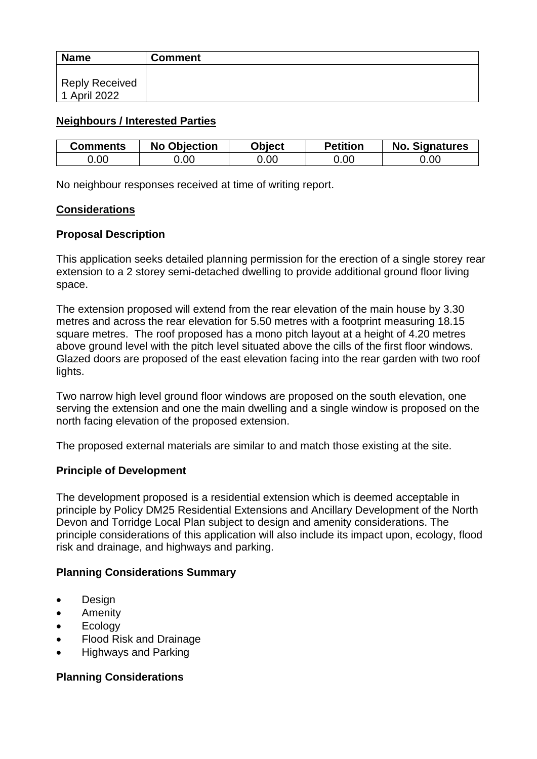| <b>Name</b>                           | <b>Comment</b> |
|---------------------------------------|----------------|
| <b>Reply Received</b><br>1 April 2022 |                |

# **Neighbours / Interested Parties**

| <b>Comments</b> | <b>No Objection</b> | Object | <b>Petition</b> | <b>No. Signatures</b> |
|-----------------|---------------------|--------|-----------------|-----------------------|
| 0.00            | .00                 | 0.00   | 00.(            | 0.00                  |

No neighbour responses received at time of writing report.

## **Considerations**

## **Proposal Description**

This application seeks detailed planning permission for the erection of a single storey rear extension to a 2 storey semi-detached dwelling to provide additional ground floor living space.

The extension proposed will extend from the rear elevation of the main house by 3.30 metres and across the rear elevation for 5.50 metres with a footprint measuring 18.15 square metres. The roof proposed has a mono pitch layout at a height of 4.20 metres above ground level with the pitch level situated above the cills of the first floor windows. Glazed doors are proposed of the east elevation facing into the rear garden with two roof lights.

Two narrow high level ground floor windows are proposed on the south elevation, one serving the extension and one the main dwelling and a single window is proposed on the north facing elevation of the proposed extension.

The proposed external materials are similar to and match those existing at the site.

## **Principle of Development**

The development proposed is a residential extension which is deemed acceptable in principle by Policy DM25 Residential Extensions and Ancillary Development of the North Devon and Torridge Local Plan subject to design and amenity considerations. The principle considerations of this application will also include its impact upon, ecology, flood risk and drainage, and highways and parking.

## **Planning Considerations Summary**

- Design
- Amenity
- Ecology
- Flood Risk and Drainage
- Highways and Parking

## **Planning Considerations**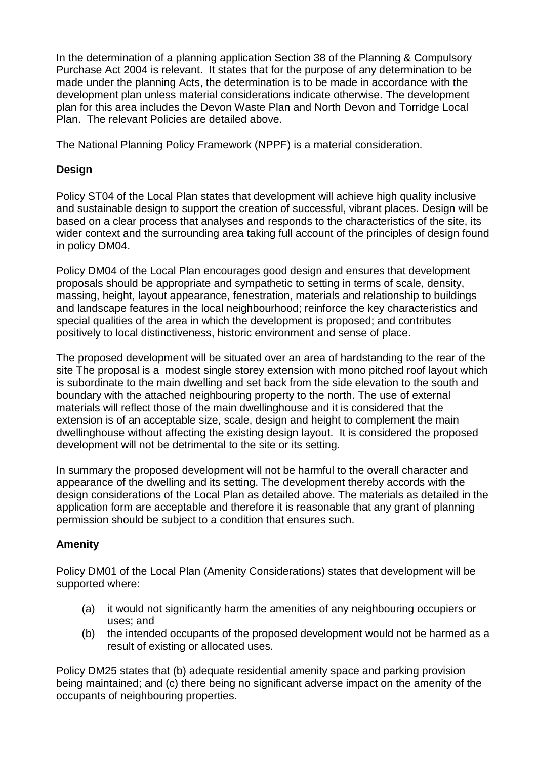In the determination of a planning application Section 38 of the Planning & Compulsory Purchase Act 2004 is relevant. It states that for the purpose of any determination to be made under the planning Acts, the determination is to be made in accordance with the development plan unless material considerations indicate otherwise. The development plan for this area includes the Devon Waste Plan and North Devon and Torridge Local Plan. The relevant Policies are detailed above.

The National Planning Policy Framework (NPPF) is a material consideration.

# **Design**

Policy ST04 of the Local Plan states that development will achieve high quality inclusive and sustainable design to support the creation of successful, vibrant places. Design will be based on a clear process that analyses and responds to the characteristics of the site, its wider context and the surrounding area taking full account of the principles of design found in policy DM04.

Policy DM04 of the Local Plan encourages good design and ensures that development proposals should be appropriate and sympathetic to setting in terms of scale, density, massing, height, layout appearance, fenestration, materials and relationship to buildings and landscape features in the local neighbourhood; reinforce the key characteristics and special qualities of the area in which the development is proposed; and contributes positively to local distinctiveness, historic environment and sense of place.

The proposed development will be situated over an area of hardstanding to the rear of the site The proposal is a modest single storey extension with mono pitched roof layout which is subordinate to the main dwelling and set back from the side elevation to the south and boundary with the attached neighbouring property to the north. The use of external materials will reflect those of the main dwellinghouse and it is considered that the extension is of an acceptable size, scale, design and height to complement the main dwellinghouse without affecting the existing design layout. It is considered the proposed development will not be detrimental to the site or its setting.

In summary the proposed development will not be harmful to the overall character and appearance of the dwelling and its setting. The development thereby accords with the design considerations of the Local Plan as detailed above. The materials as detailed in the application form are acceptable and therefore it is reasonable that any grant of planning permission should be subject to a condition that ensures such.

# **Amenity**

Policy DM01 of the Local Plan (Amenity Considerations) states that development will be supported where:

- (a) it would not significantly harm the amenities of any neighbouring occupiers or uses; and
- (b) the intended occupants of the proposed development would not be harmed as a result of existing or allocated uses.

Policy DM25 states that (b) adequate residential amenity space and parking provision being maintained; and (c) there being no significant adverse impact on the amenity of the occupants of neighbouring properties.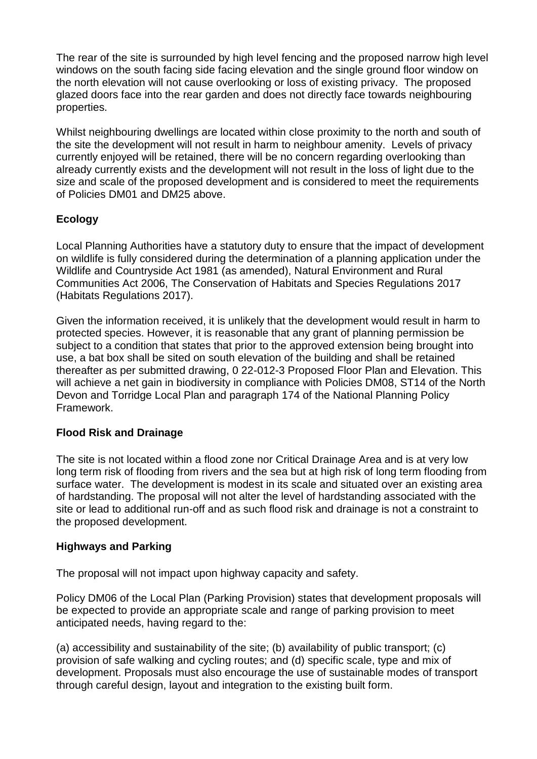The rear of the site is surrounded by high level fencing and the proposed narrow high level windows on the south facing side facing elevation and the single ground floor window on the north elevation will not cause overlooking or loss of existing privacy. The proposed glazed doors face into the rear garden and does not directly face towards neighbouring properties.

Whilst neighbouring dwellings are located within close proximity to the north and south of the site the development will not result in harm to neighbour amenity. Levels of privacy currently enjoyed will be retained, there will be no concern regarding overlooking than already currently exists and the development will not result in the loss of light due to the size and scale of the proposed development and is considered to meet the requirements of Policies DM01 and DM25 above.

# **Ecology**

Local Planning Authorities have a statutory duty to ensure that the impact of development on wildlife is fully considered during the determination of a planning application under the Wildlife and Countryside Act 1981 (as amended), Natural Environment and Rural Communities Act 2006, The Conservation of Habitats and Species Regulations 2017 (Habitats Regulations 2017).

Given the information received, it is unlikely that the development would result in harm to protected species. However, it is reasonable that any grant of planning permission be subject to a condition that states that prior to the approved extension being brought into use, a bat box shall be sited on south elevation of the building and shall be retained thereafter as per submitted drawing, 0 22-012-3 Proposed Floor Plan and Elevation. This will achieve a net gain in biodiversity in compliance with Policies DM08, ST14 of the North Devon and Torridge Local Plan and paragraph 174 of the National Planning Policy Framework.

# **Flood Risk and Drainage**

The site is not located within a flood zone nor Critical Drainage Area and is at very low long term risk of flooding from rivers and the sea but at high risk of long term flooding from surface water. The development is modest in its scale and situated over an existing area of hardstanding. The proposal will not alter the level of hardstanding associated with the site or lead to additional run-off and as such flood risk and drainage is not a constraint to the proposed development.

# **Highways and Parking**

The proposal will not impact upon highway capacity and safety.

Policy DM06 of the Local Plan (Parking Provision) states that development proposals will be expected to provide an appropriate scale and range of parking provision to meet anticipated needs, having regard to the:

(a) accessibility and sustainability of the site; (b) availability of public transport; (c) provision of safe walking and cycling routes; and (d) specific scale, type and mix of development. Proposals must also encourage the use of sustainable modes of transport through careful design, layout and integration to the existing built form.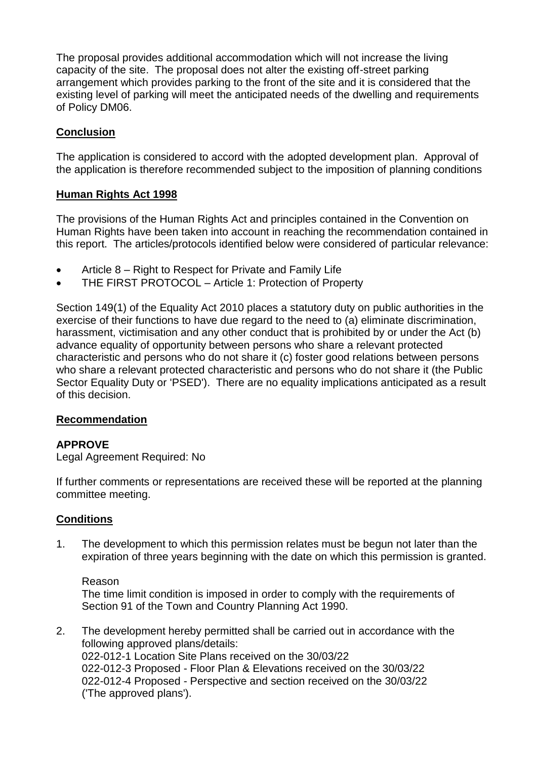The proposal provides additional accommodation which will not increase the living capacity of the site. The proposal does not alter the existing off-street parking arrangement which provides parking to the front of the site and it is considered that the existing level of parking will meet the anticipated needs of the dwelling and requirements of Policy DM06.

# **Conclusion**

The application is considered to accord with the adopted development plan. Approval of the application is therefore recommended subject to the imposition of planning conditions

# **Human Rights Act 1998**

The provisions of the Human Rights Act and principles contained in the Convention on Human Rights have been taken into account in reaching the recommendation contained in this report. The articles/protocols identified below were considered of particular relevance:

- Article 8 Right to Respect for Private and Family Life
- THE FIRST PROTOCOL Article 1: Protection of Property

Section 149(1) of the Equality Act 2010 places a statutory duty on public authorities in the exercise of their functions to have due regard to the need to (a) eliminate discrimination, harassment, victimisation and any other conduct that is prohibited by or under the Act (b) advance equality of opportunity between persons who share a relevant protected characteristic and persons who do not share it (c) foster good relations between persons who share a relevant protected characteristic and persons who do not share it (the Public Sector Equality Duty or 'PSED'). There are no equality implications anticipated as a result of this decision.

# **Recommendation**

# **APPROVE**

Legal Agreement Required: No

If further comments or representations are received these will be reported at the planning committee meeting.

# **Conditions**

1. The development to which this permission relates must be begun not later than the expiration of three years beginning with the date on which this permission is granted.

## Reason

The time limit condition is imposed in order to comply with the requirements of Section 91 of the Town and Country Planning Act 1990.

2. The development hereby permitted shall be carried out in accordance with the following approved plans/details: 022-012-1 Location Site Plans received on the 30/03/22 022-012-3 Proposed - Floor Plan & Elevations received on the 30/03/22 022-012-4 Proposed - Perspective and section received on the 30/03/22 ('The approved plans').